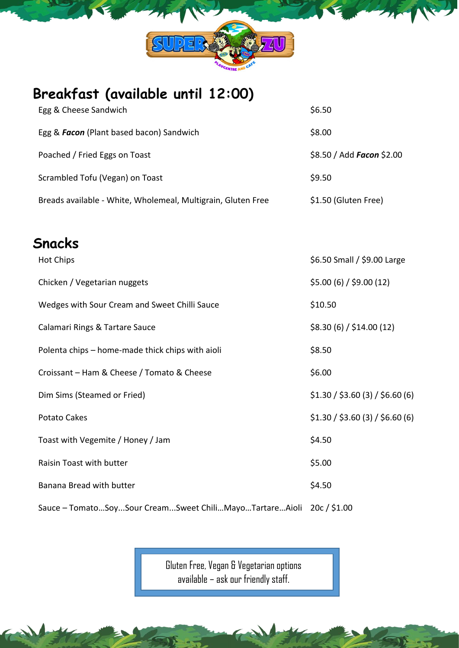

## **Breakfast (available until 12:00)**

| Egg & Cheese Sandwich                                        | \$6.50                           |
|--------------------------------------------------------------|----------------------------------|
| Egg & Facon (Plant based bacon) Sandwich                     | \$8.00                           |
| Poached / Fried Eggs on Toast                                | \$8.50 / Add Facon \$2.00        |
| Scrambled Tofu (Vegan) on Toast                              | \$9.50                           |
| Breads available - White, Wholemeal, Multigrain, Gluten Free | \$1.50 (Gluten Free)             |
|                                                              |                                  |
| Snacks                                                       |                                  |
| <b>Hot Chips</b>                                             | \$6.50 Small / \$9.00 Large      |
| Chicken / Vegetarian nuggets                                 | \$5.00(6)/\$9.00(12)             |
| Wedges with Sour Cream and Sweet Chilli Sauce                | \$10.50                          |
| Calamari Rings & Tartare Sauce                               | \$8.30(6)/\$14.00(12)            |
| Polenta chips - home-made thick chips with aioli             | \$8.50                           |
| Croissant - Ham & Cheese / Tomato & Cheese                   | \$6.00                           |
| Dim Sims (Steamed or Fried)                                  | \$1.30 / \$3.60 (3) / \$6.60 (6) |
| Potato Cakes                                                 | \$1.30 / \$3.60 (3) / \$6.60 (6) |
| Toast with Vegemite / Honey / Jam                            | \$4.50                           |
| Raisin Toast with butter                                     | \$5.00                           |
| Banana Bread with butter                                     | \$4.50                           |
| Sauce - TomatoSoySour CreamSweet ChiliMayoTartareAioli       | 20c / \$1.00                     |

Gluten Free, Vegan & Vegetarian options available – ask our friendly staff.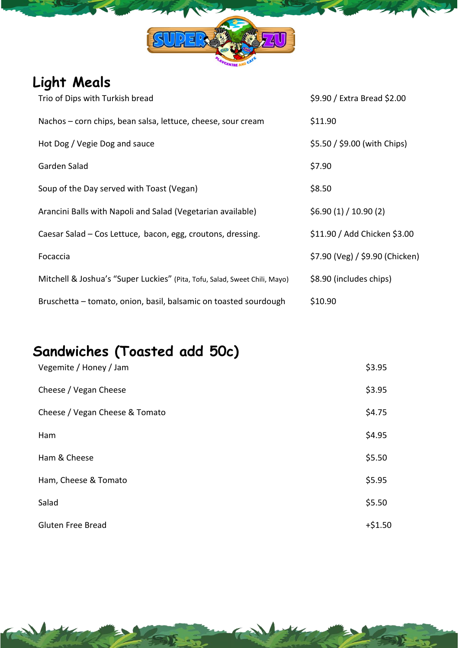

# **Light Meals**

| Trio of Dips with Turkish bread                                            | \$9.90 / Extra Bread \$2.00     |
|----------------------------------------------------------------------------|---------------------------------|
| Nachos – corn chips, bean salsa, lettuce, cheese, sour cream               | \$11.90                         |
| Hot Dog / Vegie Dog and sauce                                              | \$5.50 / \$9.00 (with Chips)    |
| Garden Salad                                                               | \$7.90                          |
| Soup of the Day served with Toast (Vegan)                                  | \$8.50                          |
| Arancini Balls with Napoli and Salad (Vegetarian available)                | \$6.90(1)/10.90(2)              |
| Caesar Salad – Cos Lettuce, bacon, egg, croutons, dressing.                | \$11.90 / Add Chicken \$3.00    |
| Focaccia                                                                   | \$7.90 (Veg) / \$9.90 (Chicken) |
| Mitchell & Joshua's "Super Luckies" (Pita, Tofu, Salad, Sweet Chili, Mayo) | \$8.90 (includes chips)         |
| Bruschetta - tomato, onion, basil, balsamic on toasted sourdough           | \$10.90                         |

## **Sandwiches (Toasted add 50c)**

| Vegemite / Honey / Jam         | \$3.95    |
|--------------------------------|-----------|
| Cheese / Vegan Cheese          | \$3.95    |
| Cheese / Vegan Cheese & Tomato | \$4.75    |
| Ham                            | \$4.95    |
| Ham & Cheese                   | \$5.50    |
| Ham, Cheese & Tomato           | \$5.95    |
| Salad                          | \$5.50    |
| <b>Gluten Free Bread</b>       | $+ $1.50$ |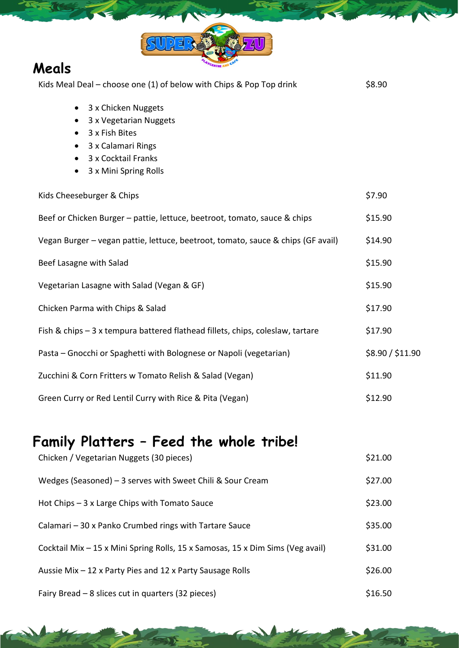

### **Meals**

| Kids Meal Deal - choose one (1) of below with Chips & Pop Top drink                                                                                                          | \$8.90           |  |
|------------------------------------------------------------------------------------------------------------------------------------------------------------------------------|------------------|--|
| 3 x Chicken Nuggets<br>$\bullet$<br>3 x Vegetarian Nuggets<br>3 x Fish Bites<br>$\bullet$<br>3 x Calamari Rings<br>3 x Cocktail Franks<br>3 x Mini Spring Rolls<br>$\bullet$ |                  |  |
| Kids Cheeseburger & Chips                                                                                                                                                    | \$7.90           |  |
| Beef or Chicken Burger - pattie, lettuce, beetroot, tomato, sauce & chips                                                                                                    | \$15.90          |  |
| Vegan Burger - vegan pattie, lettuce, beetroot, tomato, sauce & chips (GF avail)                                                                                             | \$14.90          |  |
| Beef Lasagne with Salad                                                                                                                                                      | \$15.90          |  |
| Vegetarian Lasagne with Salad (Vegan & GF)                                                                                                                                   | \$15.90          |  |
| Chicken Parma with Chips & Salad                                                                                                                                             | \$17.90          |  |
| Fish & chips - 3 x tempura battered flathead fillets, chips, coleslaw, tartare                                                                                               | \$17.90          |  |
| Pasta – Gnocchi or Spaghetti with Bolognese or Napoli (vegetarian)                                                                                                           | \$8.90 / \$11.90 |  |
| Zucchini & Corn Fritters w Tomato Relish & Salad (Vegan)                                                                                                                     | \$11.90          |  |
| Green Curry or Red Lentil Curry with Rice & Pita (Vegan)                                                                                                                     | \$12.90          |  |

## **Family Platters – Feed the whole tribe!**

| Chicken / Vegetarian Nuggets (30 pieces)                                       | \$21.00 |
|--------------------------------------------------------------------------------|---------|
| Wedges (Seasoned) $-3$ serves with Sweet Chili & Sour Cream                    | \$27.00 |
| Hot Chips - 3 x Large Chips with Tomato Sauce                                  | \$23.00 |
| Calamari - 30 x Panko Crumbed rings with Tartare Sauce                         | \$35.00 |
| Cocktail Mix – 15 x Mini Spring Rolls, 15 x Samosas, 15 x Dim Sims (Veg avail) | \$31.00 |
| Aussie Mix – 12 x Party Pies and 12 x Party Sausage Rolls                      | \$26.00 |
| Fairy Bread – 8 slices cut in quarters (32 pieces)                             | \$16.50 |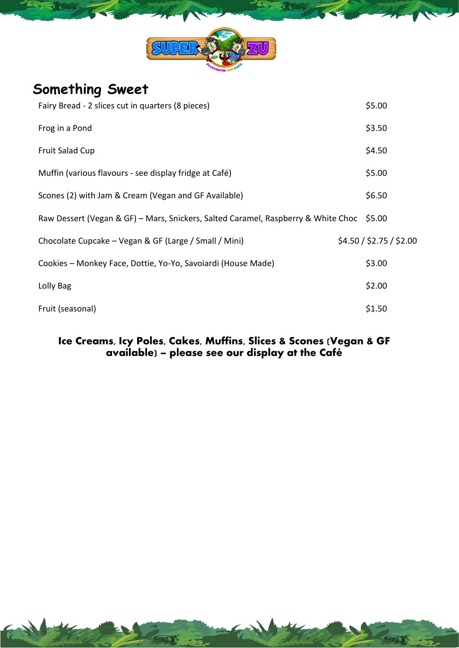

#### **Something Sweet**

| Fairy Bread - 2 slices cut in quarters (8 pieces)                                        | \$5.00                   |
|------------------------------------------------------------------------------------------|--------------------------|
| Frog in a Pond                                                                           | \$3.50                   |
| <b>Fruit Salad Cup</b>                                                                   | \$4.50                   |
| Muffin (various flavours - see display fridge at Café)                                   | \$5.00                   |
| Scones (2) with Jam & Cream (Vegan and GF Available)                                     | \$6.50                   |
| Raw Dessert (Vegan & GF) - Mars, Snickers, Salted Caramel, Raspberry & White Choc \$5.00 |                          |
| Chocolate Cupcake - Vegan & GF (Large / Small / Mini)                                    | \$4.50 / \$2.75 / \$2.00 |
| Cookies - Monkey Face, Dottie, Yo-Yo, Savoiardi (House Made)                             | \$3.00                   |
| Lolly Bag                                                                                | \$2.00                   |
| Fruit (seasonal)                                                                         | \$1.50                   |

#### Ice Creams, Icy Poles, Cakes, Muffins, Slices & Scones (Vegan & GF available) – please see our display at the Café